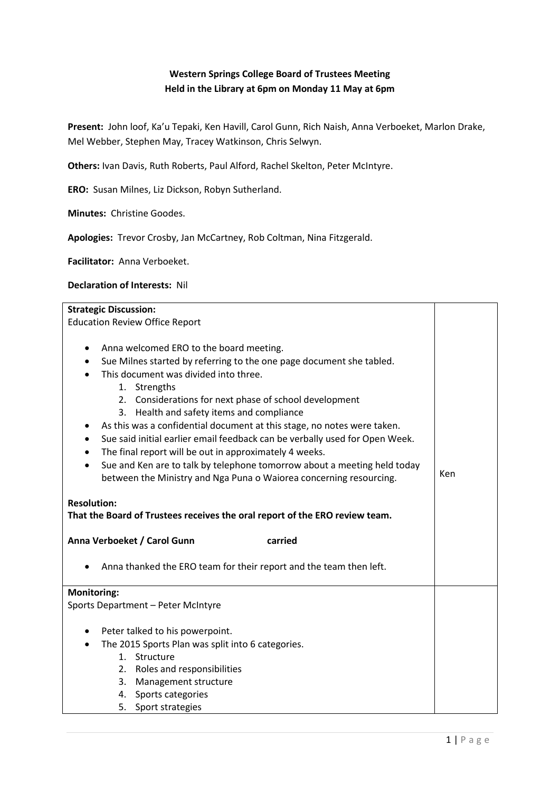## **Western Springs College Board of Trustees Meeting Held in the Library at 6pm on Monday 11 May at 6pm**

**Present:** John loof, Ka'u Tepaki, Ken Havill, Carol Gunn, Rich Naish, Anna Verboeket, Marlon Drake, Mel Webber, Stephen May, Tracey Watkinson, Chris Selwyn.

**Others:** Ivan Davis, Ruth Roberts, Paul Alford, Rachel Skelton, Peter McIntyre.

**ERO:** Susan Milnes, Liz Dickson, Robyn Sutherland.

**Minutes:** Christine Goodes.

**Apologies:** Trevor Crosby, Jan McCartney, Rob Coltman, Nina Fitzgerald.

**Facilitator:** Anna Verboeket.

## **Declaration of Interests:** Nil

| <b>Strategic Discussion:</b>                                                                                                                                                                                                                                                                                                                                                                                                                                                                                                                                                                                                                                                                                                                                                                        |     |
|-----------------------------------------------------------------------------------------------------------------------------------------------------------------------------------------------------------------------------------------------------------------------------------------------------------------------------------------------------------------------------------------------------------------------------------------------------------------------------------------------------------------------------------------------------------------------------------------------------------------------------------------------------------------------------------------------------------------------------------------------------------------------------------------------------|-----|
| <b>Education Review Office Report</b>                                                                                                                                                                                                                                                                                                                                                                                                                                                                                                                                                                                                                                                                                                                                                               |     |
| Anna welcomed ERO to the board meeting.<br>٠<br>Sue Milnes started by referring to the one page document she tabled.<br>٠<br>This document was divided into three.<br>1. Strengths<br>2. Considerations for next phase of school development<br>3. Health and safety items and compliance<br>As this was a confidential document at this stage, no notes were taken.<br>٠<br>Sue said initial earlier email feedback can be verbally used for Open Week.<br>$\bullet$<br>The final report will be out in approximately 4 weeks.<br>Sue and Ken are to talk by telephone tomorrow about a meeting held today<br>$\bullet$<br>between the Ministry and Nga Puna o Waiorea concerning resourcing.<br><b>Resolution:</b><br>That the Board of Trustees receives the oral report of the ERO review team. | Ken |
| Anna Verboeket / Carol Gunn<br>carried                                                                                                                                                                                                                                                                                                                                                                                                                                                                                                                                                                                                                                                                                                                                                              |     |
| Anna thanked the ERO team for their report and the team then left.                                                                                                                                                                                                                                                                                                                                                                                                                                                                                                                                                                                                                                                                                                                                  |     |
| <b>Monitoring:</b>                                                                                                                                                                                                                                                                                                                                                                                                                                                                                                                                                                                                                                                                                                                                                                                  |     |
| Sports Department - Peter McIntyre                                                                                                                                                                                                                                                                                                                                                                                                                                                                                                                                                                                                                                                                                                                                                                  |     |
| Peter talked to his powerpoint.<br>$\bullet$                                                                                                                                                                                                                                                                                                                                                                                                                                                                                                                                                                                                                                                                                                                                                        |     |
| The 2015 Sports Plan was split into 6 categories.<br>$\bullet$                                                                                                                                                                                                                                                                                                                                                                                                                                                                                                                                                                                                                                                                                                                                      |     |
| 1. Structure                                                                                                                                                                                                                                                                                                                                                                                                                                                                                                                                                                                                                                                                                                                                                                                        |     |
| 2. Roles and responsibilities                                                                                                                                                                                                                                                                                                                                                                                                                                                                                                                                                                                                                                                                                                                                                                       |     |
| Management structure<br>3.                                                                                                                                                                                                                                                                                                                                                                                                                                                                                                                                                                                                                                                                                                                                                                          |     |
| Sports categories<br>4.                                                                                                                                                                                                                                                                                                                                                                                                                                                                                                                                                                                                                                                                                                                                                                             |     |
| 5.<br>Sport strategies                                                                                                                                                                                                                                                                                                                                                                                                                                                                                                                                                                                                                                                                                                                                                                              |     |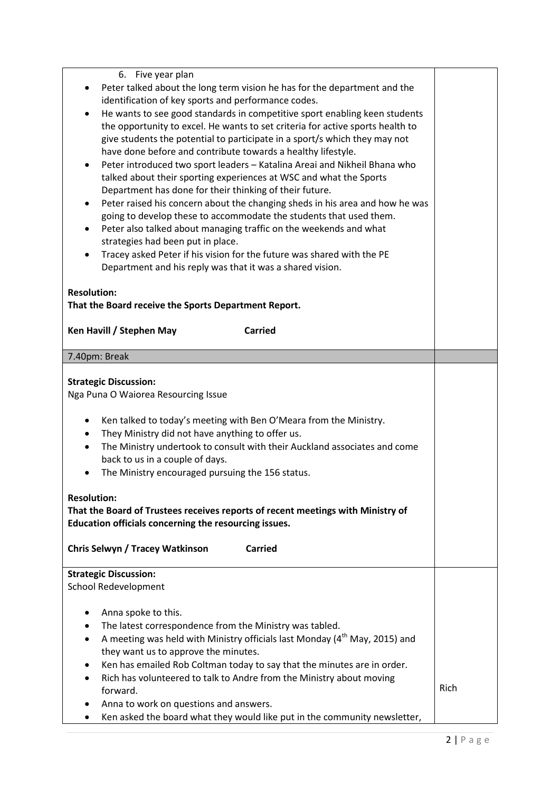| 6. Five year plan<br>Peter talked about the long term vision he has for the department and the<br>identification of key sports and performance codes.<br>He wants to see good standards in competitive sport enabling keen students<br>$\bullet$<br>the opportunity to excel. He wants to set criteria for active sports health to<br>give students the potential to participate in a sport/s which they may not<br>have done before and contribute towards a healthy lifestyle.<br>Peter introduced two sport leaders - Katalina Areai and Nikheil Bhana who<br>٠<br>talked about their sporting experiences at WSC and what the Sports<br>Department has done for their thinking of their future.<br>Peter raised his concern about the changing sheds in his area and how he was<br>going to develop these to accommodate the students that used them.<br>Peter also talked about managing traffic on the weekends and what<br>٠<br>strategies had been put in place.<br>Tracey asked Peter if his vision for the future was shared with the PE<br>$\bullet$<br>Department and his reply was that it was a shared vision.<br><b>Resolution:</b><br>That the Board receive the Sports Department Report.<br>Ken Havill / Stephen May<br><b>Carried</b> |      |
|----------------------------------------------------------------------------------------------------------------------------------------------------------------------------------------------------------------------------------------------------------------------------------------------------------------------------------------------------------------------------------------------------------------------------------------------------------------------------------------------------------------------------------------------------------------------------------------------------------------------------------------------------------------------------------------------------------------------------------------------------------------------------------------------------------------------------------------------------------------------------------------------------------------------------------------------------------------------------------------------------------------------------------------------------------------------------------------------------------------------------------------------------------------------------------------------------------------------------------------------------------|------|
|                                                                                                                                                                                                                                                                                                                                                                                                                                                                                                                                                                                                                                                                                                                                                                                                                                                                                                                                                                                                                                                                                                                                                                                                                                                          |      |
| 7.40pm: Break                                                                                                                                                                                                                                                                                                                                                                                                                                                                                                                                                                                                                                                                                                                                                                                                                                                                                                                                                                                                                                                                                                                                                                                                                                            |      |
| <b>Strategic Discussion:</b><br>Nga Puna O Waiorea Resourcing Issue<br>Ken talked to today's meeting with Ben O'Meara from the Ministry.<br>٠<br>They Ministry did not have anything to offer us.<br>$\bullet$<br>The Ministry undertook to consult with their Auckland associates and come<br>$\bullet$<br>back to us in a couple of days.<br>The Ministry encouraged pursuing the 156 status.<br><b>Resolution:</b><br>That the Board of Trustees receives reports of recent meetings with Ministry of<br>Education officials concerning the resourcing issues.<br>Chris Selwyn / Tracey Watkinson<br><b>Carried</b><br><b>Strategic Discussion:</b>                                                                                                                                                                                                                                                                                                                                                                                                                                                                                                                                                                                                   |      |
| <b>School Redevelopment</b>                                                                                                                                                                                                                                                                                                                                                                                                                                                                                                                                                                                                                                                                                                                                                                                                                                                                                                                                                                                                                                                                                                                                                                                                                              |      |
|                                                                                                                                                                                                                                                                                                                                                                                                                                                                                                                                                                                                                                                                                                                                                                                                                                                                                                                                                                                                                                                                                                                                                                                                                                                          |      |
| Anna spoke to this.                                                                                                                                                                                                                                                                                                                                                                                                                                                                                                                                                                                                                                                                                                                                                                                                                                                                                                                                                                                                                                                                                                                                                                                                                                      |      |
| The latest correspondence from the Ministry was tabled.<br>٠                                                                                                                                                                                                                                                                                                                                                                                                                                                                                                                                                                                                                                                                                                                                                                                                                                                                                                                                                                                                                                                                                                                                                                                             |      |
| A meeting was held with Ministry officials last Monday (4 <sup>th</sup> May, 2015) and                                                                                                                                                                                                                                                                                                                                                                                                                                                                                                                                                                                                                                                                                                                                                                                                                                                                                                                                                                                                                                                                                                                                                                   |      |
| they want us to approve the minutes.<br>Ken has emailed Rob Coltman today to say that the minutes are in order.<br>٠                                                                                                                                                                                                                                                                                                                                                                                                                                                                                                                                                                                                                                                                                                                                                                                                                                                                                                                                                                                                                                                                                                                                     |      |
| Rich has volunteered to talk to Andre from the Ministry about moving<br>$\bullet$                                                                                                                                                                                                                                                                                                                                                                                                                                                                                                                                                                                                                                                                                                                                                                                                                                                                                                                                                                                                                                                                                                                                                                        |      |
| forward.                                                                                                                                                                                                                                                                                                                                                                                                                                                                                                                                                                                                                                                                                                                                                                                                                                                                                                                                                                                                                                                                                                                                                                                                                                                 | Rich |
| Anna to work on questions and answers.                                                                                                                                                                                                                                                                                                                                                                                                                                                                                                                                                                                                                                                                                                                                                                                                                                                                                                                                                                                                                                                                                                                                                                                                                   |      |
| Ken asked the board what they would like put in the community newsletter,                                                                                                                                                                                                                                                                                                                                                                                                                                                                                                                                                                                                                                                                                                                                                                                                                                                                                                                                                                                                                                                                                                                                                                                |      |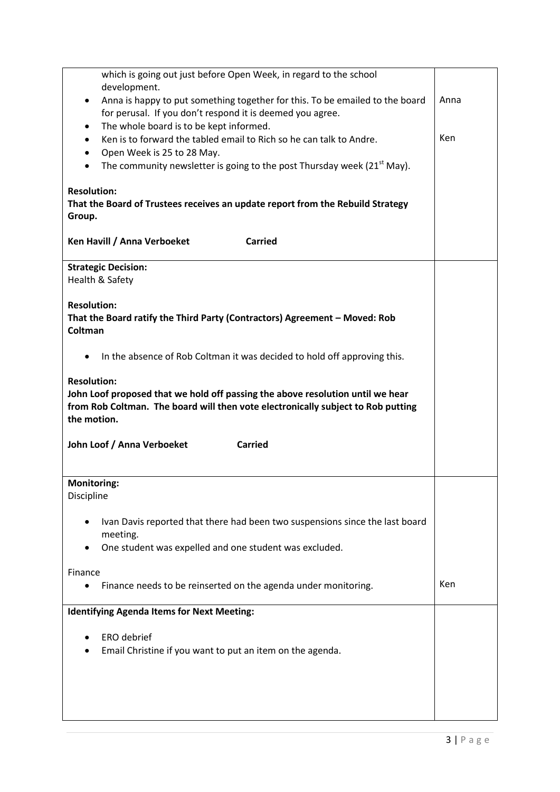| which is going out just before Open Week, in regard to the school                                                                   |      |
|-------------------------------------------------------------------------------------------------------------------------------------|------|
| development.<br>Anna is happy to put something together for this. To be emailed to the board                                        | Anna |
| for perusal. If you don't respond it is deemed you agree.                                                                           |      |
| The whole board is to be kept informed.<br>٠                                                                                        |      |
| Ken is to forward the tabled email to Rich so he can talk to Andre.<br>٠                                                            | Ken  |
| Open Week is 25 to 28 May.<br>٠<br>The community newsletter is going to the post Thursday week (21 <sup>st</sup> May).<br>$\bullet$ |      |
|                                                                                                                                     |      |
| <b>Resolution:</b><br>That the Board of Trustees receives an update report from the Rebuild Strategy<br>Group.                      |      |
| Ken Havill / Anna Verboeket<br><b>Carried</b>                                                                                       |      |
| <b>Strategic Decision:</b>                                                                                                          |      |
| Health & Safety                                                                                                                     |      |
| <b>Resolution:</b>                                                                                                                  |      |
| That the Board ratify the Third Party (Contractors) Agreement - Moved: Rob                                                          |      |
| Coltman                                                                                                                             |      |
| In the absence of Rob Coltman it was decided to hold off approving this.                                                            |      |
|                                                                                                                                     |      |
| <b>Resolution:</b>                                                                                                                  |      |
| John Loof proposed that we hold off passing the above resolution until we hear                                                      |      |
| from Rob Coltman. The board will then vote electronically subject to Rob putting<br>the motion.                                     |      |
|                                                                                                                                     |      |
| John Loof / Anna Verboeket<br><b>Carried</b>                                                                                        |      |
|                                                                                                                                     |      |
| <b>Monitoring:</b>                                                                                                                  |      |
| Discipline                                                                                                                          |      |
| Ivan Davis reported that there had been two suspensions since the last board                                                        |      |
| meeting.                                                                                                                            |      |
| One student was expelled and one student was excluded.                                                                              |      |
|                                                                                                                                     |      |
| Finance<br>Finance needs to be reinserted on the agenda under monitoring.                                                           | Ken  |
|                                                                                                                                     |      |
| <b>Identifying Agenda Items for Next Meeting:</b>                                                                                   |      |
| ERO debrief                                                                                                                         |      |
| Email Christine if you want to put an item on the agenda.                                                                           |      |
|                                                                                                                                     |      |
|                                                                                                                                     |      |
|                                                                                                                                     |      |
|                                                                                                                                     |      |